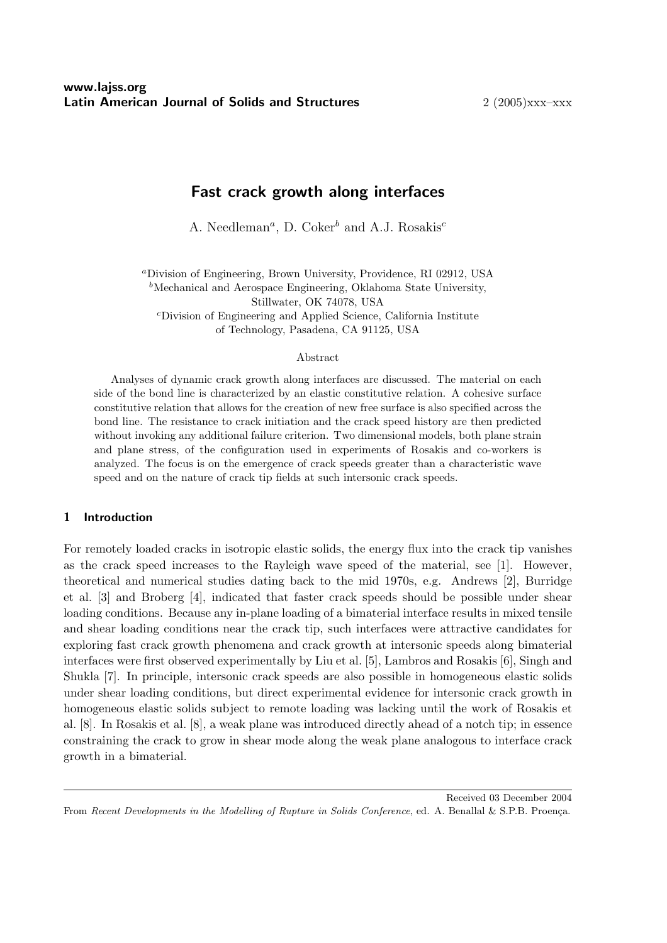# Fast crack growth along interfaces

A. Needleman<sup>*a*</sup>, D. Coker<sup>b</sup> and A.J. Rosakis<sup>c</sup>

<sup>a</sup>Division of Engineering, Brown University, Providence, RI 02912, USA  $<sup>b</sup>$ Mechanical and Aerospace Engineering, Oklahoma State University,</sup> Stillwater, OK 74078, USA <sup>c</sup>Division of Engineering and Applied Science, California Institute

of Technology, Pasadena, CA 91125, USA

#### Abstract

Analyses of dynamic crack growth along interfaces are discussed. The material on each side of the bond line is characterized by an elastic constitutive relation. A cohesive surface constitutive relation that allows for the creation of new free surface is also specified across the bond line. The resistance to crack initiation and the crack speed history are then predicted without invoking any additional failure criterion. Two dimensional models, both plane strain and plane stress, of the configuration used in experiments of Rosakis and co-workers is analyzed. The focus is on the emergence of crack speeds greater than a characteristic wave speed and on the nature of crack tip fields at such intersonic crack speeds.

## 1 Introduction

For remotely loaded cracks in isotropic elastic solids, the energy flux into the crack tip vanishes as the crack speed increases to the Rayleigh wave speed of the material, see [1]. However, theoretical and numerical studies dating back to the mid 1970s, e.g. Andrews [2], Burridge et al. [3] and Broberg [4], indicated that faster crack speeds should be possible under shear loading conditions. Because any in-plane loading of a bimaterial interface results in mixed tensile and shear loading conditions near the crack tip, such interfaces were attractive candidates for exploring fast crack growth phenomena and crack growth at intersonic speeds along bimaterial interfaces were first observed experimentally by Liu et al. [5], Lambros and Rosakis [6], Singh and Shukla [7]. In principle, intersonic crack speeds are also possible in homogeneous elastic solids under shear loading conditions, but direct experimental evidence for intersonic crack growth in homogeneous elastic solids subject to remote loading was lacking until the work of Rosakis et al. [8]. In Rosakis et al. [8], a weak plane was introduced directly ahead of a notch tip; in essence constraining the crack to grow in shear mode along the weak plane analogous to interface crack growth in a bimaterial.

Received 03 December 2004

From Recent Developments in the Modelling of Rupture in Solids Conference, ed. A. Benallal & S.P.B. Proença.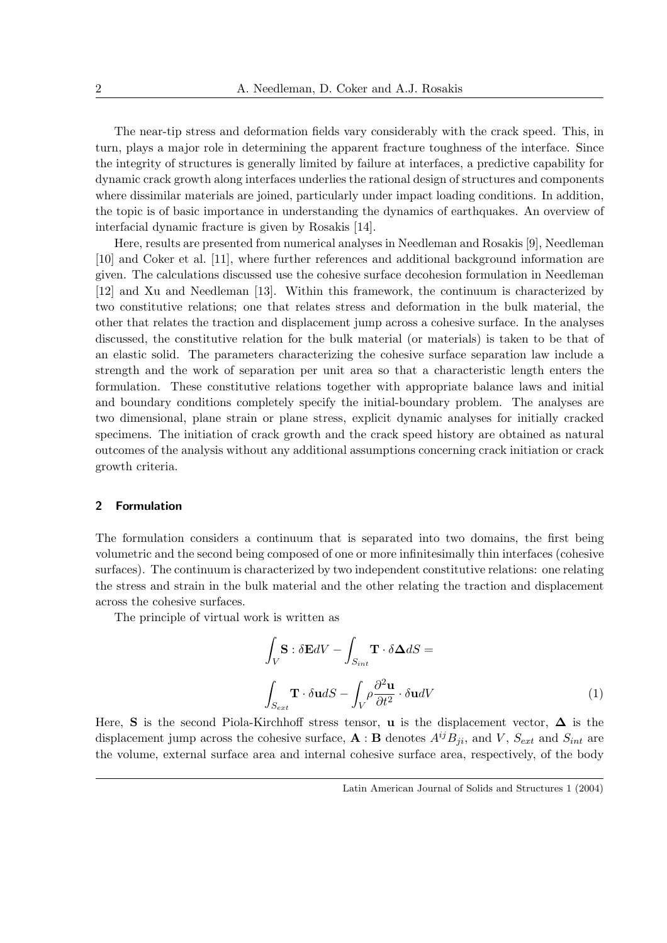The near-tip stress and deformation fields vary considerably with the crack speed. This, in turn, plays a major role in determining the apparent fracture toughness of the interface. Since the integrity of structures is generally limited by failure at interfaces, a predictive capability for dynamic crack growth along interfaces underlies the rational design of structures and components where dissimilar materials are joined, particularly under impact loading conditions. In addition, the topic is of basic importance in understanding the dynamics of earthquakes. An overview of interfacial dynamic fracture is given by Rosakis [14].

Here, results are presented from numerical analyses in Needleman and Rosakis [9], Needleman [10] and Coker et al. [11], where further references and additional background information are given. The calculations discussed use the cohesive surface decohesion formulation in Needleman [12] and Xu and Needleman [13]. Within this framework, the continuum is characterized by two constitutive relations; one that relates stress and deformation in the bulk material, the other that relates the traction and displacement jump across a cohesive surface. In the analyses discussed, the constitutive relation for the bulk material (or materials) is taken to be that of an elastic solid. The parameters characterizing the cohesive surface separation law include a strength and the work of separation per unit area so that a characteristic length enters the formulation. These constitutive relations together with appropriate balance laws and initial and boundary conditions completely specify the initial-boundary problem. The analyses are two dimensional, plane strain or plane stress, explicit dynamic analyses for initially cracked specimens. The initiation of crack growth and the crack speed history are obtained as natural outcomes of the analysis without any additional assumptions concerning crack initiation or crack growth criteria.

#### 2 Formulation

The formulation considers a continuum that is separated into two domains, the first being volumetric and the second being composed of one or more infinitesimally thin interfaces (cohesive surfaces). The continuum is characterized by two independent constitutive relations: one relating the stress and strain in the bulk material and the other relating the traction and displacement across the cohesive surfaces.

The principle of virtual work is written as

$$
\int_{V} \mathbf{S} : \delta \mathbf{E}dV - \int_{S_{int}} \mathbf{T} \cdot \delta \Delta dS =
$$
\n
$$
\int_{S_{ext}} \mathbf{T} \cdot \delta \mathbf{u}dS - \int_{V} \rho \frac{\partial^2 \mathbf{u}}{\partial t^2} \cdot \delta \mathbf{u}dV
$$
\n(1)

Here, S is the second Piola-Kirchhoff stress tensor, u is the displacement vector,  $\Delta$  is the displacement jump across the cohesive surface,  $\mathbf{A} : \mathbf{B}$  denotes  $A^{ij}B_{ji}$ , and  $V$ ,  $S_{ext}$  and  $S_{int}$  are the volume, external surface area and internal cohesive surface area, respectively, of the body

Latin American Journal of Solids and Structures 1 (2004)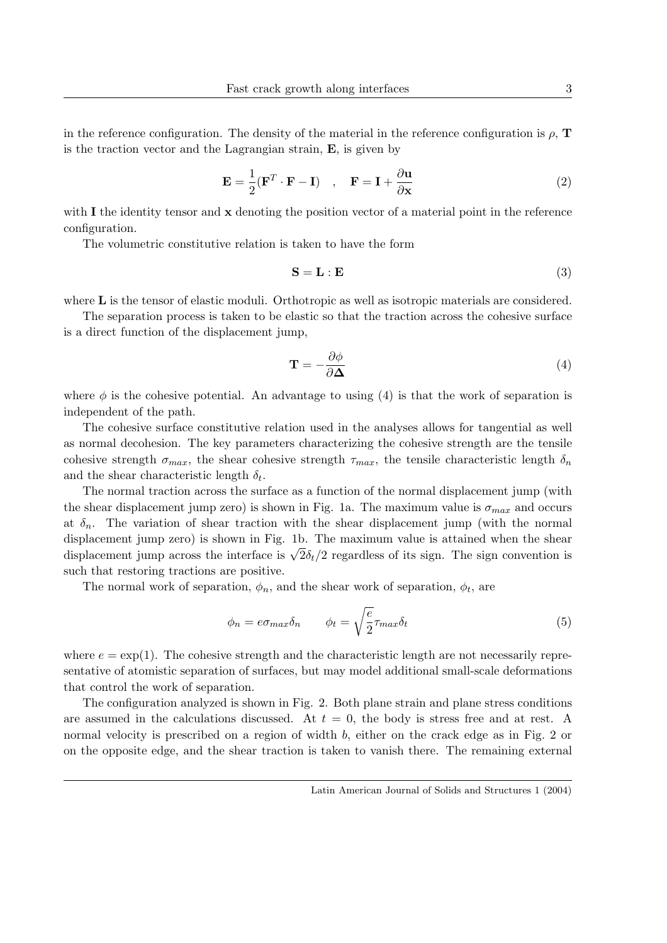in the reference configuration. The density of the material in the reference configuration is  $\rho$ ,  $\mathbf{T}$ is the traction vector and the Lagrangian strain, E, is given by

$$
\mathbf{E} = \frac{1}{2} (\mathbf{F}^T \cdot \mathbf{F} - \mathbf{I}) \quad , \quad \mathbf{F} = \mathbf{I} + \frac{\partial \mathbf{u}}{\partial \mathbf{x}} \tag{2}
$$

with  $\bf{I}$  the identity tensor and  $\bf{x}$  denoting the position vector of a material point in the reference configuration.

The volumetric constitutive relation is taken to have the form

$$
S = L : E
$$
 (3)

where **L** is the tensor of elastic moduli. Orthotropic as well as isotropic materials are considered.

The separation process is taken to be elastic so that the traction across the cohesive surface is a direct function of the displacement jump,

$$
\mathbf{T} = -\frac{\partial \phi}{\partial \mathbf{\Delta}}\tag{4}
$$

where  $\phi$  is the cohesive potential. An advantage to using (4) is that the work of separation is independent of the path.

The cohesive surface constitutive relation used in the analyses allows for tangential as well as normal decohesion. The key parameters characterizing the cohesive strength are the tensile cohesive strength  $\sigma_{max}$ , the shear cohesive strength  $\tau_{max}$ , the tensile characteristic length  $\delta_n$ and the shear characteristic length  $\delta_t$ .

The normal traction across the surface as a function of the normal displacement jump (with the shear displacement jump zero) is shown in Fig. 1a. The maximum value is  $\sigma_{max}$  and occurs at  $\delta_n$ . The variation of shear traction with the shear displacement jump (with the normal displacement jump zero) is shown in Fig. 1b. The maximum value is attained when the shear displacement jump zero) is shown in Fig. 16. The maximum value is attained when the shear<br>displacement jump across the interface is  $\sqrt{2}\delta_t/2$  regardless of its sign. The sign convention is such that restoring tractions are positive.

The normal work of separation,  $\phi_n$ , and the shear work of separation,  $\phi_t$ , are

$$
\phi_n = e \sigma_{max} \delta_n \qquad \phi_t = \sqrt{\frac{e}{2}} \tau_{max} \delta_t \tag{5}
$$

where  $e = \exp(1)$ . The cohesive strength and the characteristic length are not necessarily representative of atomistic separation of surfaces, but may model additional small-scale deformations that control the work of separation.

The configuration analyzed is shown in Fig. 2. Both plane strain and plane stress conditions are assumed in the calculations discussed. At  $t = 0$ , the body is stress free and at rest. A normal velocity is prescribed on a region of width b, either on the crack edge as in Fig. 2 or on the opposite edge, and the shear traction is taken to vanish there. The remaining external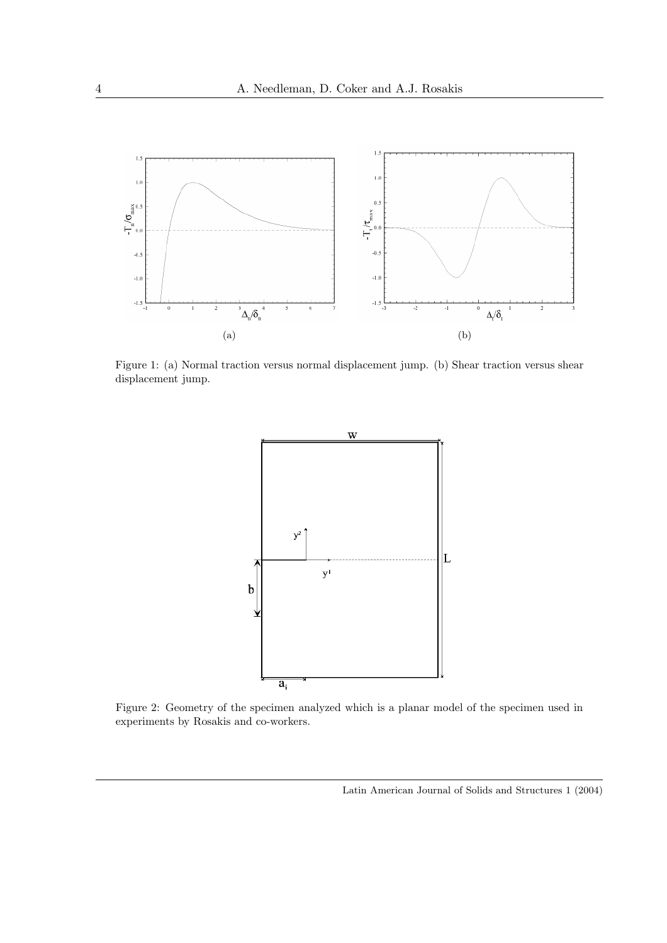

Figure 1: (a) Normal traction versus normal displacement jump. (b) Shear traction versus shear displacement jump.



Figure 2: Geometry of the specimen analyzed which is a planar model of the specimen used in experiments by Rosakis and co-workers.

Latin American Journal of Solids and Structures 1 (2004)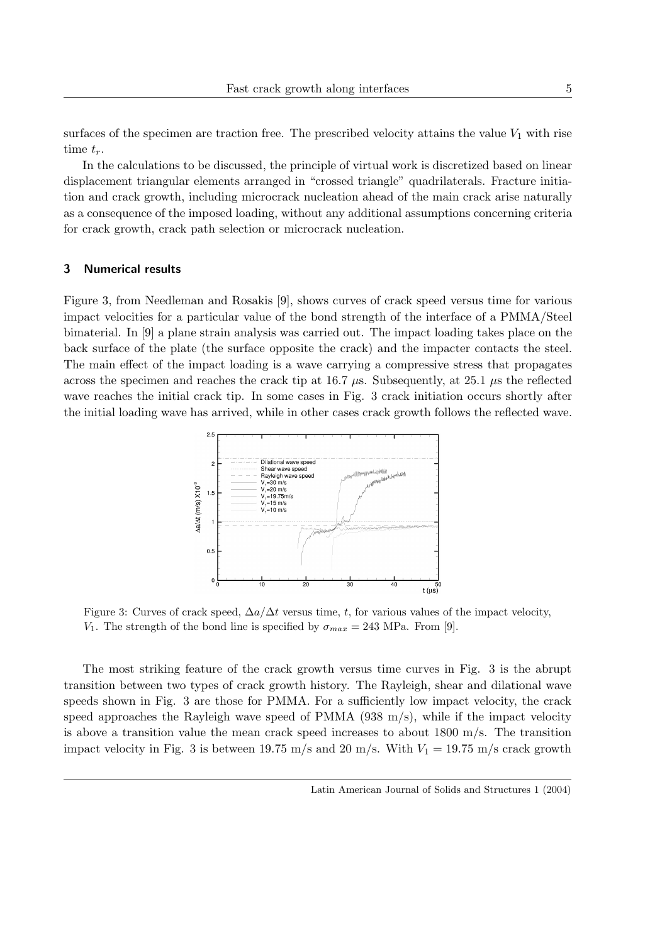surfaces of the specimen are traction free. The prescribed velocity attains the value  $V_1$  with rise time  $t_r$ .

In the calculations to be discussed, the principle of virtual work is discretized based on linear displacement triangular elements arranged in "crossed triangle" quadrilaterals. Fracture initiation and crack growth, including microcrack nucleation ahead of the main crack arise naturally as a consequence of the imposed loading, without any additional assumptions concerning criteria for crack growth, crack path selection or microcrack nucleation.

### 3 Numerical results

Figure 3, from Needleman and Rosakis [9], shows curves of crack speed versus time for various impact velocities for a particular value of the bond strength of the interface of a PMMA/Steel bimaterial. In [9] a plane strain analysis was carried out. The impact loading takes place on the back surface of the plate (the surface opposite the crack) and the impacter contacts the steel. The main effect of the impact loading is a wave carrying a compressive stress that propagates across the specimen and reaches the crack tip at 16.7  $\mu$ s. Subsequently, at 25.1  $\mu$ s the reflected wave reaches the initial crack tip. In some cases in Fig. 3 crack initiation occurs shortly after the initial loading wave has arrived, while in other cases crack growth follows the reflected wave.



Figure 3: Curves of crack speed,  $\Delta a/\Delta t$  versus time, t, for various values of the impact velocity, V<sub>1</sub>. The strength of the bond line is specified by  $\sigma_{max} = 243$  MPa. From [9].

The most striking feature of the crack growth versus time curves in Fig. 3 is the abrupt transition between two types of crack growth history. The Rayleigh, shear and dilational wave speeds shown in Fig. 3 are those for PMMA. For a sufficiently low impact velocity, the crack speed approaches the Rayleigh wave speed of PMMA (938 m/s), while if the impact velocity is above a transition value the mean crack speed increases to about  $1800 \text{ m/s}$ . The transition impact velocity in Fig. 3 is between 19.75 m/s and 20 m/s. With  $V_1 = 19.75$  m/s crack growth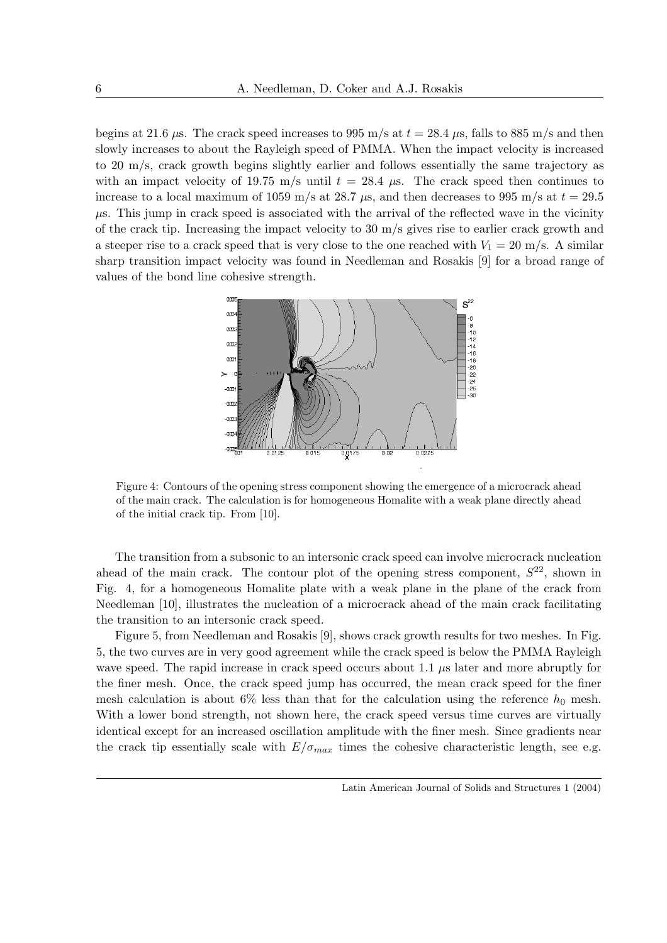begins at 21.6  $\mu$ s. The crack speed increases to 995 m/s at  $t = 28.4 \mu$ s, falls to 885 m/s and then slowly increases to about the Rayleigh speed of PMMA. When the impact velocity is increased to 20 m/s, crack growth begins slightly earlier and follows essentially the same trajectory as with an impact velocity of 19.75 m/s until  $t = 28.4$  µs. The crack speed then continues to increase to a local maximum of 1059 m/s at 28.7  $\mu$ s, and then decreases to 995 m/s at  $t = 29.5$  $\mu$ s. This jump in crack speed is associated with the arrival of the reflected wave in the vicinity of the crack tip. Increasing the impact velocity to  $30 \text{ m/s}$  gives rise to earlier crack growth and a steeper rise to a crack speed that is very close to the one reached with  $V_1 = 20$  m/s. A similar sharp transition impact velocity was found in Needleman and Rosakis [9] for a broad range of values of the bond line cohesive strength.



Figure 4: Contours of the opening stress component showing the emergence of a microcrack ahead of the main crack. The calculation is for homogeneous Homalite with a weak plane directly ahead of the initial crack tip. From [10].

The transition from a subsonic to an intersonic crack speed can involve microcrack nucleation ahead of the main crack. The contour plot of the opening stress component,  $S^{22}$ , shown in Fig. 4, for a homogeneous Homalite plate with a weak plane in the plane of the crack from Needleman [10], illustrates the nucleation of a microcrack ahead of the main crack facilitating the transition to an intersonic crack speed.

Figure 5, from Needleman and Rosakis [9], shows crack growth results for two meshes. In Fig. 5, the two curves are in very good agreement while the crack speed is below the PMMA Rayleigh wave speed. The rapid increase in crack speed occurs about 1.1  $\mu$ s later and more abruptly for the finer mesh. Once, the crack speed jump has occurred, the mean crack speed for the finer mesh calculation is about 6% less than that for the calculation using the reference  $h_0$  mesh. With a lower bond strength, not shown here, the crack speed versus time curves are virtually identical except for an increased oscillation amplitude with the finer mesh. Since gradients near the crack tip essentially scale with  $E/\sigma_{max}$  times the cohesive characteristic length, see e.g.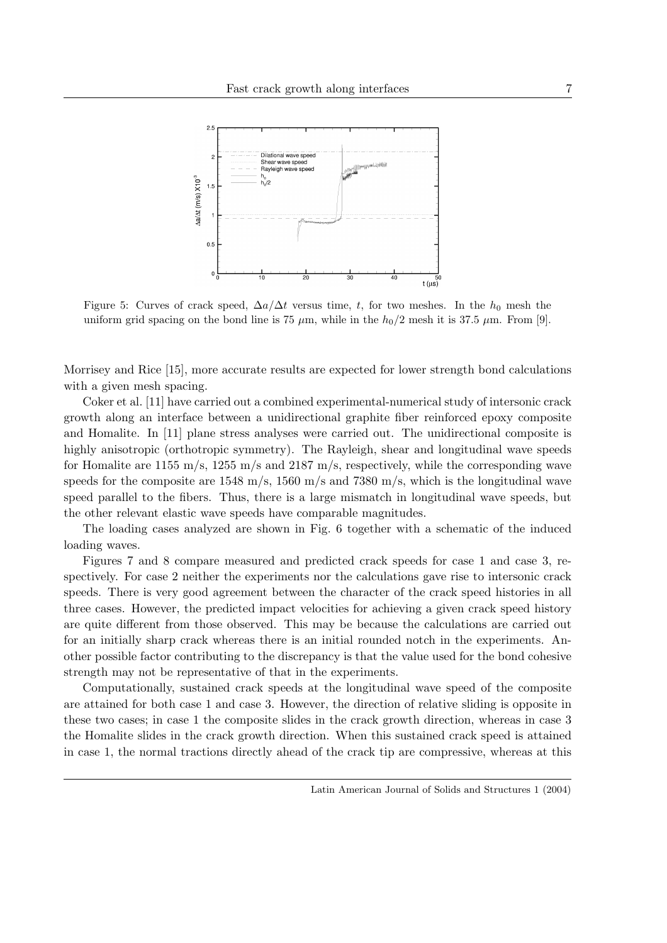

Figure 5: Curves of crack speed,  $\Delta a/\Delta t$  versus time, t, for two meshes. In the  $h_0$  mesh the uniform grid spacing on the bond line is 75  $\mu$ m, while in the  $h_0/2$  mesh it is 37.5  $\mu$ m. From [9].

Morrisey and Rice [15], more accurate results are expected for lower strength bond calculations with a given mesh spacing.

Coker et al. [11] have carried out a combined experimental-numerical study of intersonic crack growth along an interface between a unidirectional graphite fiber reinforced epoxy composite and Homalite. In [11] plane stress analyses were carried out. The unidirectional composite is highly anisotropic (orthotropic symmetry). The Rayleigh, shear and longitudinal wave speeds for Homalite are 1155 m/s, 1255 m/s and 2187 m/s, respectively, while the corresponding wave speeds for the composite are  $1548 \text{ m/s}$ ,  $1560 \text{ m/s}$  and  $7380 \text{ m/s}$ , which is the longitudinal wave speed parallel to the fibers. Thus, there is a large mismatch in longitudinal wave speeds, but the other relevant elastic wave speeds have comparable magnitudes.

The loading cases analyzed are shown in Fig. 6 together with a schematic of the induced loading waves.

Figures 7 and 8 compare measured and predicted crack speeds for case 1 and case 3, respectively. For case 2 neither the experiments nor the calculations gave rise to intersonic crack speeds. There is very good agreement between the character of the crack speed histories in all three cases. However, the predicted impact velocities for achieving a given crack speed history are quite different from those observed. This may be because the calculations are carried out for an initially sharp crack whereas there is an initial rounded notch in the experiments. Another possible factor contributing to the discrepancy is that the value used for the bond cohesive strength may not be representative of that in the experiments.

Computationally, sustained crack speeds at the longitudinal wave speed of the composite are attained for both case 1 and case 3. However, the direction of relative sliding is opposite in these two cases; in case 1 the composite slides in the crack growth direction, whereas in case 3 the Homalite slides in the crack growth direction. When this sustained crack speed is attained in case 1, the normal tractions directly ahead of the crack tip are compressive, whereas at this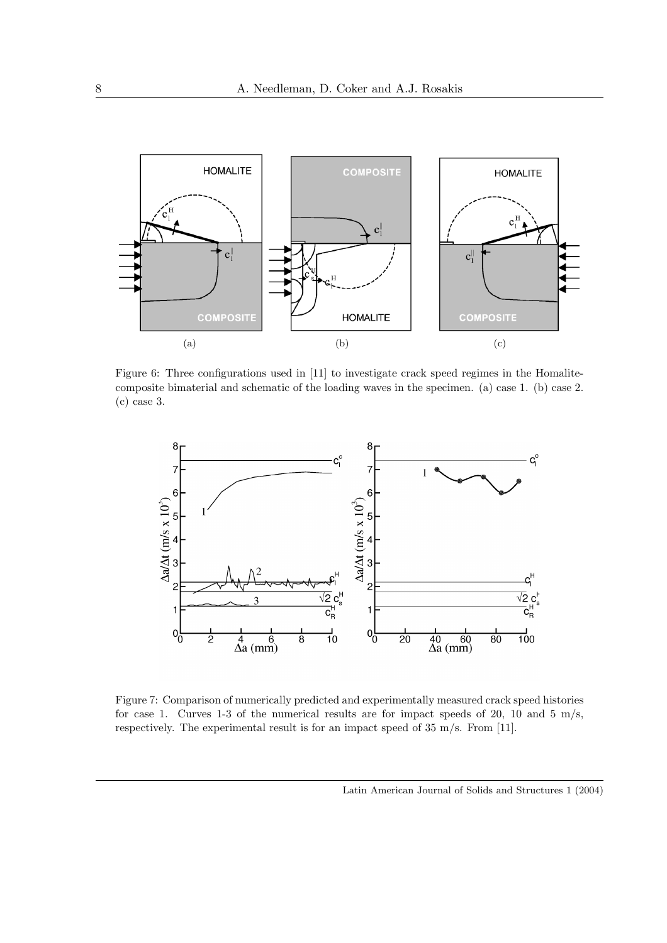

Figure 6: Three configurations used in [11] to investigate crack speed regimes in the Homalitecomposite bimaterial and schematic of the loading waves in the specimen. (a) case 1. (b) case 2. (c) case 3.



Figure 7: Comparison of numerically predicted and experimentally measured crack speed histories for case 1. Curves 1-3 of the numerical results are for impact speeds of 20, 10 and 5 m/s, respectively. The experimental result is for an impact speed of 35 m/s. From [11].

Latin American Journal of Solids and Structures 1 (2004)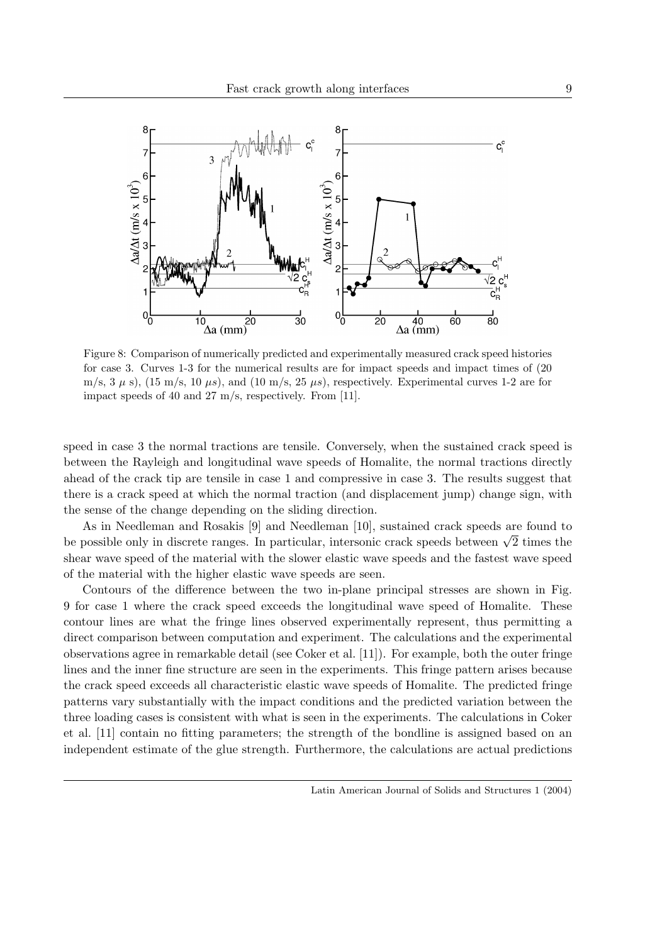

Figure 8: Comparison of numerically predicted and experimentally measured crack speed histories for case 3. Curves 1-3 for the numerical results are for impact speeds and impact times of (20 m/s,  $3 \mu$  s), (15 m/s, 10  $\mu$ s), and (10 m/s, 25  $\mu$ s), respectively. Experimental curves 1-2 are for impact speeds of 40 and 27 m/s, respectively. From [11].

speed in case 3 the normal tractions are tensile. Conversely, when the sustained crack speed is between the Rayleigh and longitudinal wave speeds of Homalite, the normal tractions directly ahead of the crack tip are tensile in case 1 and compressive in case 3. The results suggest that there is a crack speed at which the normal traction (and displacement jump) change sign, with the sense of the change depending on the sliding direction.

As in Needleman and Rosakis [9] and Needleman [10], sustained crack speeds are found to As in Needleman and Rosakis [9] and Needleman [10], sustained crack speeds are found to<br>be possible only in discrete ranges. In particular, intersonic crack speeds between  $\sqrt{2}$  times the shear wave speed of the material with the slower elastic wave speeds and the fastest wave speed of the material with the higher elastic wave speeds are seen.

Contours of the difference between the two in-plane principal stresses are shown in Fig. 9 for case 1 where the crack speed exceeds the longitudinal wave speed of Homalite. These contour lines are what the fringe lines observed experimentally represent, thus permitting a direct comparison between computation and experiment. The calculations and the experimental observations agree in remarkable detail (see Coker et al. [11]). For example, both the outer fringe lines and the inner fine structure are seen in the experiments. This fringe pattern arises because the crack speed exceeds all characteristic elastic wave speeds of Homalite. The predicted fringe patterns vary substantially with the impact conditions and the predicted variation between the three loading cases is consistent with what is seen in the experiments. The calculations in Coker et al. [11] contain no fitting parameters; the strength of the bondline is assigned based on an independent estimate of the glue strength. Furthermore, the calculations are actual predictions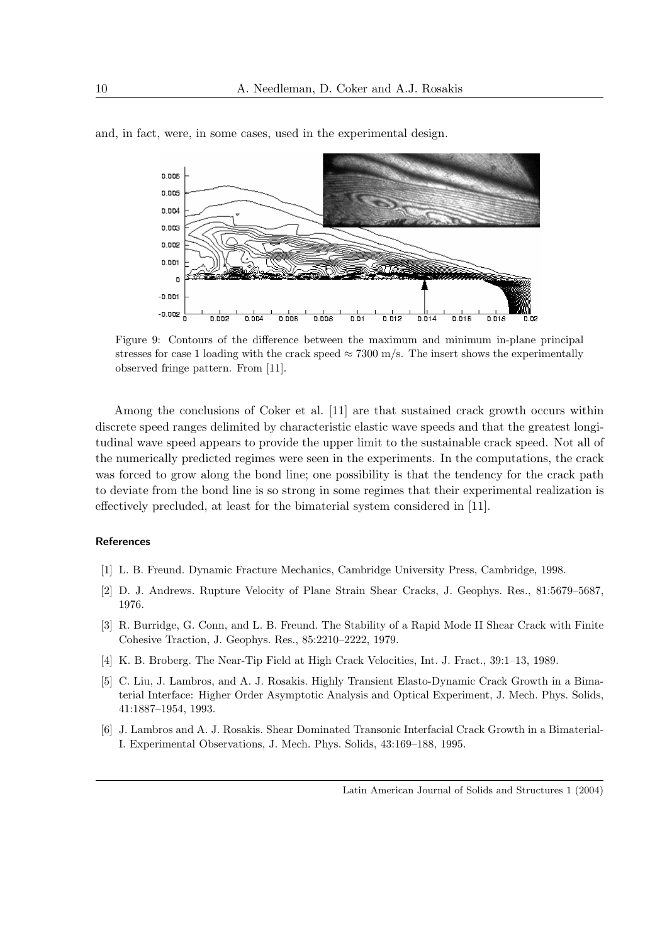

and, in fact, were, in some cases, used in the experimental design.

Figure 9: Contours of the difference between the maximum and minimum in-plane principal stresses for case 1 loading with the crack speed  $\approx 7300$  m/s. The insert shows the experimentally observed fringe pattern. From [11].

Among the conclusions of Coker et al. [11] are that sustained crack growth occurs within discrete speed ranges delimited by characteristic elastic wave speeds and that the greatest longitudinal wave speed appears to provide the upper limit to the sustainable crack speed. Not all of the numerically predicted regimes were seen in the experiments. In the computations, the crack was forced to grow along the bond line; one possibility is that the tendency for the crack path to deviate from the bond line is so strong in some regimes that their experimental realization is effectively precluded, at least for the bimaterial system considered in [11].

#### **References**

- [1] L. B. Freund. Dynamic Fracture Mechanics, Cambridge University Press, Cambridge, 1998.
- [2] D. J. Andrews. Rupture Velocity of Plane Strain Shear Cracks, J. Geophys. Res., 81:5679–5687, 1976.
- [3] R. Burridge, G. Conn, and L. B. Freund. The Stability of a Rapid Mode II Shear Crack with Finite Cohesive Traction, J. Geophys. Res., 85:2210–2222, 1979.
- [4] K. B. Broberg. The Near-Tip Field at High Crack Velocities, Int. J. Fract., 39:1–13, 1989.
- [5] C. Liu, J. Lambros, and A. J. Rosakis. Highly Transient Elasto-Dynamic Crack Growth in a Bimaterial Interface: Higher Order Asymptotic Analysis and Optical Experiment, J. Mech. Phys. Solids, 41:1887–1954, 1993.
- [6] J. Lambros and A. J. Rosakis. Shear Dominated Transonic Interfacial Crack Growth in a Bimaterial-I. Experimental Observations, J. Mech. Phys. Solids, 43:169–188, 1995.

Latin American Journal of Solids and Structures 1 (2004)